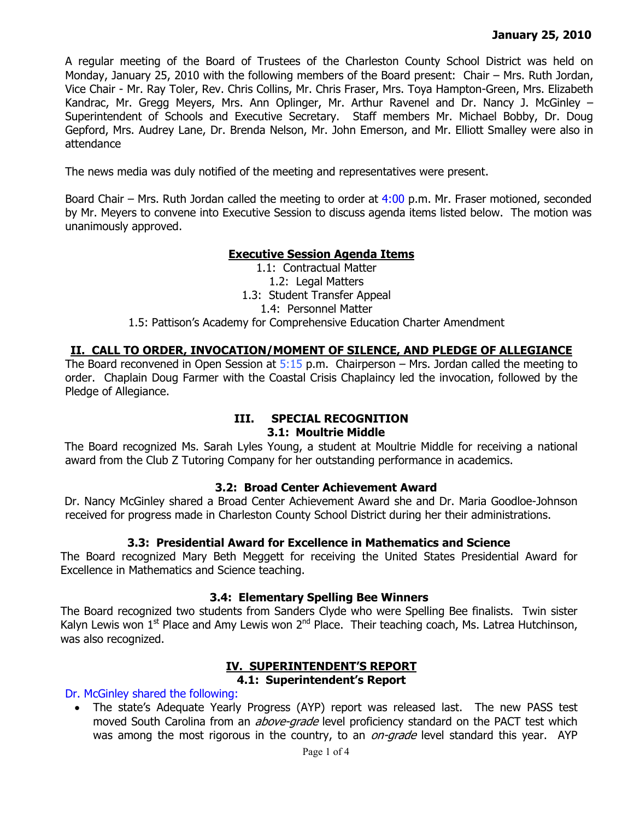A regular meeting of the Board of Trustees of the Charleston County School District was held on Monday, January 25, 2010 with the following members of the Board present: Chair – Mrs. Ruth Jordan, Vice Chair - Mr. Ray Toler, Rev. Chris Collins, Mr. Chris Fraser, Mrs. Toya Hampton-Green, Mrs. Elizabeth Kandrac, Mr. Gregg Meyers, Mrs. Ann Oplinger, Mr. Arthur Ravenel and Dr. Nancy J. McGinley – Superintendent of Schools and Executive Secretary. Staff members Mr. Michael Bobby, Dr. Doug Gepford, Mrs. Audrey Lane, Dr. Brenda Nelson, Mr. John Emerson, and Mr. Elliott Smalley were also in attendance

The news media was duly notified of the meeting and representatives were present.

Board Chair – Mrs. Ruth Jordan called the meeting to order at 4:00 p.m. Mr. Fraser motioned, seconded by Mr. Meyers to convene into Executive Session to discuss agenda items listed below. The motion was unanimously approved.

# **Executive Session Agenda Items**

1.1: Contractual Matter 1.2: Legal Matters 1.3: Student Transfer Appeal 1.4: Personnel Matter 1.5: Pattison's Academy for Comprehensive Education Charter Amendment

# **II. CALL TO ORDER, INVOCATION/MOMENT OF SILENCE, AND PLEDGE OF ALLEGIANCE**

The Board reconvened in Open Session at  $5:15$  p.m. Chairperson – Mrs. Jordan called the meeting to order. Chaplain Doug Farmer with the Coastal Crisis Chaplaincy led the invocation, followed by the Pledge of Allegiance.

## **III. SPECIAL RECOGNITION 3.1: Moultrie Middle**

The Board recognized Ms. Sarah Lyles Young, a student at Moultrie Middle for receiving a national award from the Club Z Tutoring Company for her outstanding performance in academics.

## **3.2: Broad Center Achievement Award**

Dr. Nancy McGinley shared a Broad Center Achievement Award she and Dr. Maria Goodloe-Johnson received for progress made in Charleston County School District during her their administrations.

# **3.3: Presidential Award for Excellence in Mathematics and Science**

The Board recognized Mary Beth Meggett for receiving the United States Presidential Award for Excellence in Mathematics and Science teaching.

## **3.4: Elementary Spelling Bee Winners**

The Board recognized two students from Sanders Clyde who were Spelling Bee finalists. Twin sister Kalyn Lewis won  $1<sup>st</sup>$  Place and Amy Lewis won  $2<sup>nd</sup>$  Place. Their teaching coach, Ms. Latrea Hutchinson, was also recognized.

#### **IV. SUPERINTENDENT'S REPORT 4.1: Superintendent's Report**

Dr. McGinley shared the following:

• The state's Adequate Yearly Progress (AYP) report was released last. The new PASS test moved South Carolina from an *above-grade* level proficiency standard on the PACT test which was among the most rigorous in the country, to an *on-grade* level standard this year. AYP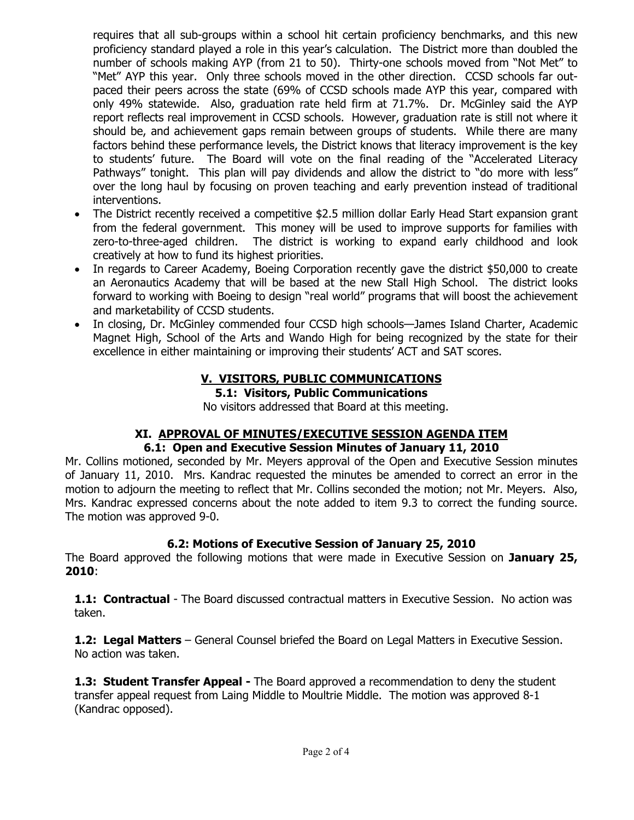requires that all sub-groups within a school hit certain proficiency benchmarks, and this new proficiency standard played a role in this year's calculation. The District more than doubled the number of schools making AYP (from 21 to 50). Thirty-one schools moved from "Not Met" to "Met" AYP this year. Only three schools moved in the other direction. CCSD schools far outpaced their peers across the state (69% of CCSD schools made AYP this year, compared with only 49% statewide. Also, graduation rate held firm at 71.7%. Dr. McGinley said the AYP report reflects real improvement in CCSD schools. However, graduation rate is still not where it should be, and achievement gaps remain between groups of students. While there are many factors behind these performance levels, the District knows that literacy improvement is the key to students' future. The Board will vote on the final reading of the "Accelerated Literacy Pathways" tonight. This plan will pay dividends and allow the district to "do more with less" over the long haul by focusing on proven teaching and early prevention instead of traditional interventions.

- The District recently received a competitive \$2.5 million dollar Early Head Start expansion grant from the federal government. This money will be used to improve supports for families with zero-to-three-aged children. The district is working to expand early childhood and look creatively at how to fund its highest priorities.
- In regards to Career Academy, Boeing Corporation recently gave the district \$50,000 to create an Aeronautics Academy that will be based at the new Stall High School. The district looks forward to working with Boeing to design "real world" programs that will boost the achievement and marketability of CCSD students.
- In closing, Dr. McGinley commended four CCSD high schools—James Island Charter, Academic Magnet High, School of the Arts and Wando High for being recognized by the state for their excellence in either maintaining or improving their students' ACT and SAT scores.

# **V. VISITORS, PUBLIC COMMUNICATIONS**

**5.1: Visitors, Public Communications** 

No visitors addressed that Board at this meeting.

## **XI. APPROVAL OF MINUTES/EXECUTIVE SESSION AGENDA ITEM 6.1: Open and Executive Session Minutes of January 11, 2010**

Mr. Collins motioned, seconded by Mr. Meyers approval of the Open and Executive Session minutes of January 11, 2010. Mrs. Kandrac requested the minutes be amended to correct an error in the motion to adjourn the meeting to reflect that Mr. Collins seconded the motion; not Mr. Meyers. Also, Mrs. Kandrac expressed concerns about the note added to item 9.3 to correct the funding source. The motion was approved 9-0.

# **6.2: Motions of Executive Session of January 25, 2010**

The Board approved the following motions that were made in Executive Session on **January 25, 2010**:

**1.1: Contractual** - The Board discussed contractual matters in Executive Session. No action was taken.

**1.2: Legal Matters** – General Counsel briefed the Board on Legal Matters in Executive Session. No action was taken.

**1.3: Student Transfer Appeal -** The Board approved a recommendation to deny the student transfer appeal request from Laing Middle to Moultrie Middle. The motion was approved 8-1 (Kandrac opposed).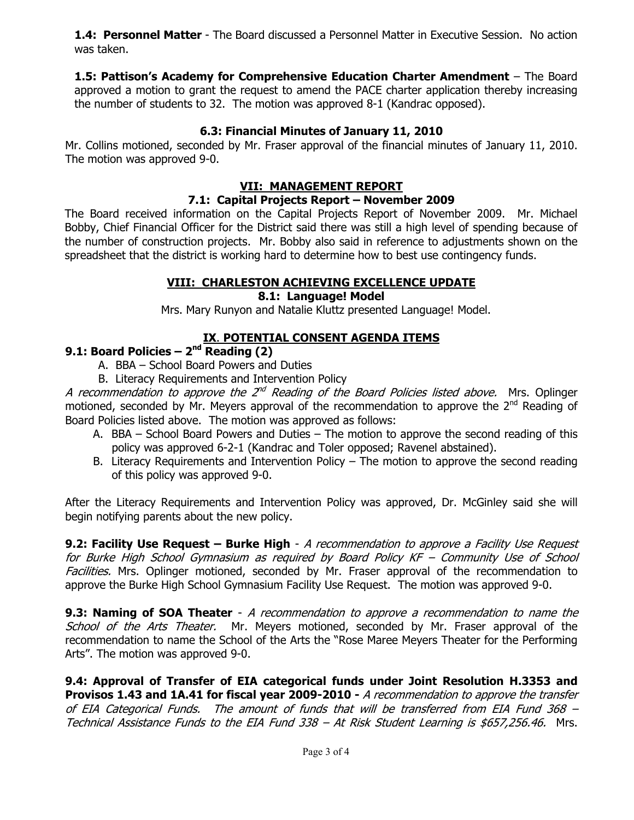**1.4: Personnel Matter** - The Board discussed a Personnel Matter in Executive Session. No action was taken.

**1.5: Pattison's Academy for Comprehensive Education Charter Amendment** – The Board approved a motion to grant the request to amend the PACE charter application thereby increasing the number of students to 32. The motion was approved 8-1 (Kandrac opposed).

# **6.3: Financial Minutes of January 11, 2010**

Mr. Collins motioned, seconded by Mr. Fraser approval of the financial minutes of January 11, 2010. The motion was approved 9-0.

# **VII: MANAGEMENT REPORT**

# **7.1: Capital Projects Report – November 2009**

The Board received information on the Capital Projects Report of November 2009. Mr. Michael Bobby, Chief Financial Officer for the District said there was still a high level of spending because of the number of construction projects. Mr. Bobby also said in reference to adjustments shown on the spreadsheet that the district is working hard to determine how to best use contingency funds.

# **VIII: CHARLESTON ACHIEVING EXCELLENCE UPDATE**

# **8.1: Language! Model**

Mrs. Mary Runyon and Natalie Kluttz presented Language! Model.

# **IX**. **POTENTIAL CONSENT AGENDA ITEMS**

# **9.1: Board Policies – 2nd Reading (2)**

- A. BBA School Board Powers and Duties
- B. Literacy Requirements and Intervention Policy

A recommendation to approve the  $2^{nd}$  Reading of the Board Policies listed above. Mrs. Oplinger motioned, seconded by Mr. Meyers approval of the recommendation to approve the  $2^{nd}$  Reading of Board Policies listed above. The motion was approved as follows:

- A. BBA School Board Powers and Duties The motion to approve the second reading of this policy was approved 6-2-1 (Kandrac and Toler opposed; Ravenel abstained).
- B. Literacy Requirements and Intervention Policy The motion to approve the second reading of this policy was approved 9-0.

After the Literacy Requirements and Intervention Policy was approved, Dr. McGinley said she will begin notifying parents about the new policy.

**9.2: Facility Use Request – Burke High** - A recommendation to approve a Facility Use Request for Burke High School Gymnasium as required by Board Policy KF – Community Use of School Facilities. Mrs. Oplinger motioned, seconded by Mr. Fraser approval of the recommendation to approve the Burke High School Gymnasium Facility Use Request. The motion was approved 9-0.

**9.3: Naming of SOA Theater** - A recommendation to approve a recommendation to name the School of the Arts Theater. Mr. Meyers motioned, seconded by Mr. Fraser approval of the recommendation to name the School of the Arts the "Rose Maree Meyers Theater for the Performing Arts". The motion was approved 9-0.

**9.4: Approval of Transfer of EIA categorical funds under Joint Resolution H.3353 and Provisos 1.43 and 1A.41 for fiscal year 2009-2010 -** A recommendation to approve the transfer of EIA Categorical Funds. The amount of funds that will be transferred from EIA Fund 368 – Technical Assistance Funds to the EIA Fund 338 - At Risk Student Learning is \$657,256.46. Mrs.